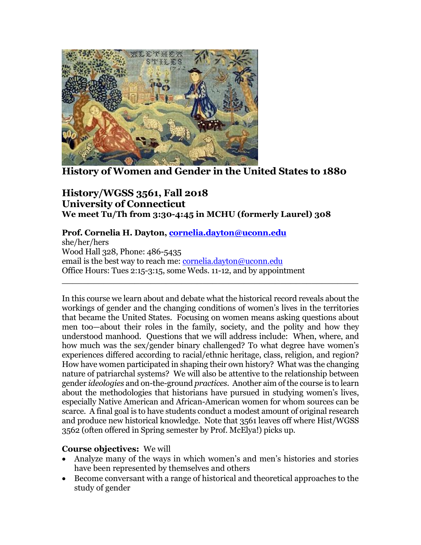

**History of Women and Gender in the United States to 1880**

## **History/WGSS 3561, Fall 2018 University of Connecticut We meet Tu/Th from 3:30-4:45 in MCHU (formerly Laurel) 308**

### **Prof. Cornelia H. Dayton, [cornelia.dayton@uconn.edu](mailto:cornelia.dayton@uconn.edu)**

she/her/hers Wood Hall 328, Phone: 486-5435 email is the best way to reach me: [cornelia.dayton@uconn.edu](mailto:cornelia.dayton@uconn.edu) Office Hours: Tues 2:15-3:15, some Weds. 11-12, and by appointment

In this course we learn about and debate what the historical record reveals about the workings of gender and the changing conditions of women's lives in the territories that became the United States. Focusing on women means asking questions about men too—about their roles in the family, society, and the polity and how they understood manhood. Questions that we will address include: When, where, and how much was the sex/gender binary challenged? To what degree have women's experiences differed according to racial/ethnic heritage, class, religion, and region? How have women participated in shaping their own history? What was the changing nature of patriarchal systems? We will also be attentive to the relationship between gender *ideologies* and on-the-ground *practices*. Another aim of the course is to learn about the methodologies that historians have pursued in studying women's lives, especially Native American and African-American women for whom sources can be scarce. A final goal is to have students conduct a modest amount of original research and produce new historical knowledge. Note that 3561 leaves off where Hist/WGSS 3562 (often offered in Spring semester by Prof. McElya!) picks up.

 $\_$ 

### **Course objectives:** We will

- Analyze many of the ways in which women's and men's histories and stories have been represented by themselves and others
- Become conversant with a range of historical and theoretical approaches to the study of gender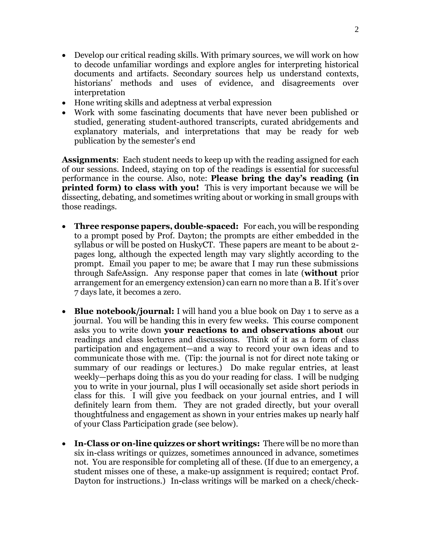- Develop our critical reading skills. With primary sources, we will work on how to decode unfamiliar wordings and explore angles for interpreting historical documents and artifacts. Secondary sources help us understand contexts, historians' methods and uses of evidence, and disagreements over interpretation
- Hone writing skills and adeptness at verbal expression
- Work with some fascinating documents that have never been published or studied, generating student-authored transcripts, curated abridgements and explanatory materials, and interpretations that may be ready for web publication by the semester's end

**Assignments**: Each student needs to keep up with the reading assigned for each of our sessions. Indeed, staying on top of the readings is essential for successful performance in the course. Also, note: **Please bring the day's reading (in printed form) to class with you!** This is very important because we will be dissecting, debating, and sometimes writing about or working in small groups with those readings.

- **Three response papers, double-spaced:** For each, you will be responding to a prompt posed by Prof. Dayton; the prompts are either embedded in the syllabus or will be posted on HuskyCT. These papers are meant to be about 2 pages long, although the expected length may vary slightly according to the prompt. Email you paper to me; be aware that I may run these submissions through SafeAssign. Any response paper that comes in late (**without** prior arrangement for an emergency extension) can earn no more than a B. If it's over 7 days late, it becomes a zero.
- **Blue notebook/journal:** I will hand you a blue book on Day 1 to serve as a journal. You will be handing this in every few weeks. This course component asks you to write down **your reactions to and observations about** our readings and class lectures and discussions. Think of it as a form of class participation and engagement—and a way to record your own ideas and to communicate those with me. (Tip: the journal is not for direct note taking or summary of our readings or lectures.) Do make regular entries, at least weekly—perhaps doing this as you do your reading for class. I will be nudging you to write in your journal, plus I will occasionally set aside short periods in class for this. I will give you feedback on your journal entries, and I will definitely learn from them. They are not graded directly, but your overall thoughtfulness and engagement as shown in your entries makes up nearly half of your Class Participation grade (see below).
- **In-Class or on-line quizzes or short writings:** There will be no more than six in-class writings or quizzes, sometimes announced in advance, sometimes not. You are responsible for completing all of these. (If due to an emergency, a student misses one of these, a make-up assignment is required; contact Prof. Dayton for instructions.) In**-**class writings will be marked on a check/check-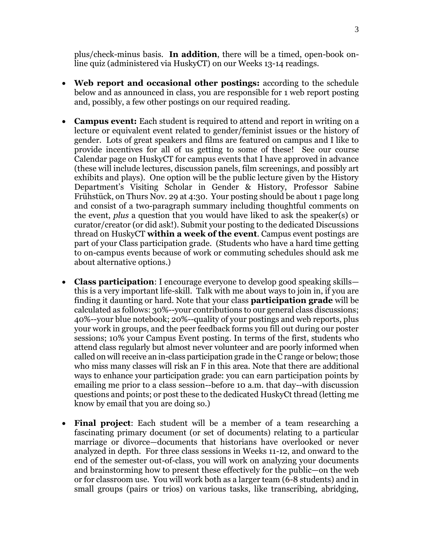plus/check-minus basis. **In addition**, there will be a timed, open-book online quiz (administered via HuskyCT) on our Weeks 13-14 readings.

- Web report and occasional other postings: according to the schedule below and as announced in class, you are responsible for 1 web report posting and, possibly, a few other postings on our required reading.
- **Campus event:** Each student is required to attend and report in writing on a lecture or equivalent event related to gender/feminist issues or the history of gender. Lots of great speakers and films are featured on campus and I like to provide incentives for all of us getting to some of these! See our course Calendar page on HuskyCT for campus events that I have approved in advance (these will include lectures, discussion panels, film screenings, and possibly art exhibits and plays). One option will be the public lecture given by the History Department's Visiting Scholar in Gender & History, Professor Sabine Frühstück, on Thurs Nov. 29 at 4:30. Your posting should be about 1 page long and consist of a two-paragraph summary including thoughtful comments on the event, *plus* a question that you would have liked to ask the speaker(s) or curator/creator (or did ask!). Submit your posting to the dedicated Discussions thread on HuskyCT **within a week of the event**. Campus event postings are part of your Class participation grade. (Students who have a hard time getting to on-campus events because of work or commuting schedules should ask me about alternative options.)
- **Class participation**: I encourage everyone to develop good speaking skills this is a very important life-skill. Talk with me about ways to join in, if you are finding it daunting or hard. Note that your class **participation grade** will be calculated as follows: 30%--your contributions to our general class discussions; 40%--your blue notebook; 20%--quality of your postings and web reports, plus your work in groups, and the peer feedback forms you fill out during our poster sessions; 10% your Campus Event posting. In terms of the first, students who attend class regularly but almost never volunteer and are poorly informed when called on will receive an in-class participation grade in the C range or below; those who miss many classes will risk an F in this area. Note that there are additional ways to enhance your participation grade: you can earn participation points by emailing me prior to a class session--before 10 a.m. that day--with discussion questions and points; or post these to the dedicated HuskyCt thread (letting me know by email that you are doing so.)
- **Final project**: Each student will be a member of a team researching a fascinating primary document (or set of documents) relating to a particular marriage or divorce—documents that historians have overlooked or never analyzed in depth. For three class sessions in Weeks 11-12, and onward to the end of the semester out-of-class, you will work on analyzing your documents and brainstorming how to present these effectively for the public—on the web or for classroom use. You will work both as a larger team (6-8 students) and in small groups (pairs or trios) on various tasks, like transcribing, abridging,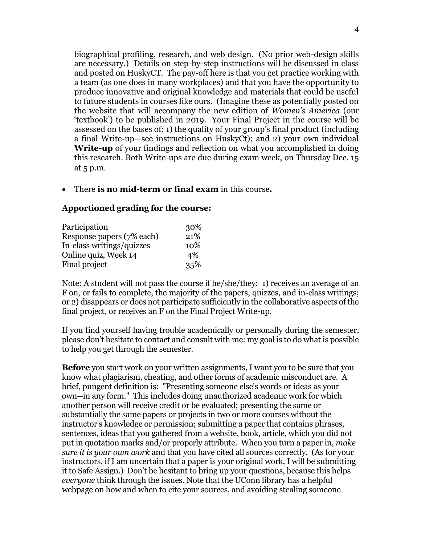biographical profiling, research, and web design. (No prior web-design skills are necessary.) Details on step-by-step instructions will be discussed in class and posted on HuskyCT. The pay-off here is that you get practice working with a team (as one does in many workplaces) and that you have the opportunity to produce innovative and original knowledge and materials that could be useful to future students in courses like ours. (Imagine these as potentially posted on the website that will accompany the new edition of *Women's America* (our 'textbook') to be published in 2019. Your Final Project in the course will be assessed on the bases of: 1) the quality of your group's final product (including a final Write-up—see instructions on HuskyCt); and 2) your own individual **Write-up** of your findings and reflection on what you accomplished in doing this research. Both Write-ups are due during exam week, on Thursday Dec. 15 at 5 p.m.

There **is no mid-term or final exam** in this course**.**

### **Apportioned grading for the course:**

| Participation             | 30% |
|---------------------------|-----|
| Response papers (7% each) | 21% |
| In-class writings/quizzes | 10% |
| Online quiz, Week 14      | 4%  |
| Final project             | 35% |

Note: A student will not pass the course if he/she/they: 1) receives an average of an F on, or fails to complete, the majority of the papers, quizzes, and in-class writings; or 2) disappears or does not participate sufficiently in the collaborative aspects of the final project, or receives an F on the Final Project Write-up.

If you find yourself having trouble academically or personally during the semester, please don't hesitate to contact and consult with me: my goal is to do what is possible to help you get through the semester.

**Before** you start work on your written assignments, I want you to be sure that you know what plagiarism, cheating, and other forms of academic misconduct are. A brief, pungent definition is: "Presenting someone else's words or ideas as your own--in any form." This includes doing unauthorized academic work for which another person will receive credit or be evaluated; presenting the same or substantially the same papers or projects in two or more courses without the instructor's knowledge or permission; submitting a paper that contains phrases, sentences, ideas that you gathered from a website, book, article, which you did not put in quotation marks and/or properly attribute. When you turn a paper in, *make sure it is your own work* and that you have cited all sources correctly. (As for your instructors, if I am uncertain that a paper is your original work, I will be submitting it to Safe Assign.) Don't be hesitant to bring up your questions, because this helps *everyone* think through the issues. Note that the UConn library has a helpful webpage on how and when to cite your sources, and avoiding stealing someone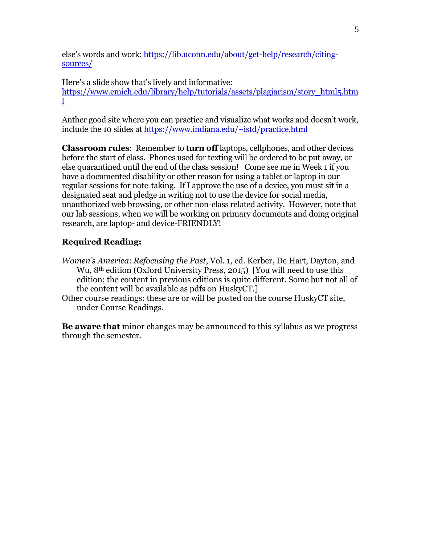else's words and work: [https://lib.uconn.edu/about/get-help/research/citing](https://lib.uconn.edu/about/get-help/research/citing-sources/)[sources/](https://lib.uconn.edu/about/get-help/research/citing-sources/)

Here's a slide show that's lively and informative: [https://www.emich.edu/library/help/tutorials/assets/plagiarism/story\\_html5.htm](https://www.emich.edu/library/help/tutorials/assets/plagiarism/story_html5.html) [l](https://www.emich.edu/library/help/tutorials/assets/plagiarism/story_html5.html)

Anther good site where you can practice and visualize what works and doesn't work, include the 10 slides at<https://www.indiana.edu/~istd/practice.html>

**Classroom rules**: Remember to **turn off** laptops, cellphones, and other devices before the start of class. Phones used for texting will be ordered to be put away, or else quarantined until the end of the class session! Come see me in Week 1 if you have a documented disability or other reason for using a tablet or laptop in our regular sessions for note-taking. If I approve the use of a device, you must sit in a designated seat and pledge in writing not to use the device for social media, unauthorized web browsing, or other non-class related activity. However, note that our lab sessions, when we will be working on primary documents and doing original research, are laptop- and device-FRIENDLY!

## **Required Reading:**

- *Women's America*: *Refocusing the Past*, Vol. 1, ed. Kerber, De Hart, Dayton, and Wu, 8<sup>th</sup> edition (Oxford University Press, 2015) [You will need to use this edition; the content in previous editions is quite different. Some but not all of the content will be available as pdfs on HuskyCT.]
- Other course readings: these are or will be posted on the course HuskyCT site, under Course Readings.

**Be aware that** minor changes may be announced to this syllabus as we progress through the semester.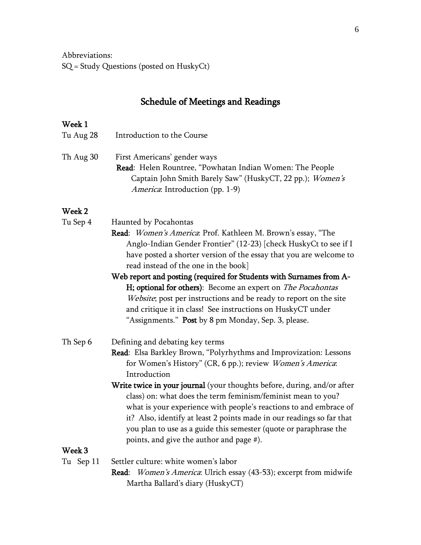Abbreviations: SQ = Study Questions (posted on HuskyCt)

# Schedule of Meetings and Readings

# Week 1

| Tu Aug 28          | Introduction to the Course                                                                                                                                                                                                                                                                                                                                                                                                                                                                                                                                                                               |
|--------------------|----------------------------------------------------------------------------------------------------------------------------------------------------------------------------------------------------------------------------------------------------------------------------------------------------------------------------------------------------------------------------------------------------------------------------------------------------------------------------------------------------------------------------------------------------------------------------------------------------------|
| Th Aug 30          | First Americans' gender ways<br>Read: Helen Rountree, "Powhatan Indian Women: The People<br>Captain John Smith Barely Saw" (HuskyCT, 22 pp.); Women's<br>America: Introduction (pp. 1-9)                                                                                                                                                                                                                                                                                                                                                                                                                 |
| Week 2             |                                                                                                                                                                                                                                                                                                                                                                                                                                                                                                                                                                                                          |
| Tu Sep 4           | Haunted by Pocahontas<br>Read: Women's America: Prof. Kathleen M. Brown's essay, "The<br>Anglo-Indian Gender Frontier" (12-23) [check HuskyCt to see if I<br>have posted a shorter version of the essay that you are welcome to<br>read instead of the one in the book]<br>Web report and posting (required for Students with Surnames from A-<br>H; optional for others): Become an expert on The Pocahontas<br>Website; post per instructions and be ready to report on the site<br>and critique it in class! See instructions on HuskyCT under<br>"Assignments." Post by 8 pm Monday, Sep. 3, please. |
| Th Sep 6<br>Week 3 | Defining and debating key terms<br>Read: Elsa Barkley Brown, "Polyrhythms and Improvization: Lessons<br>for Women's History" (CR, 6 pp.); review Women's America:<br>Introduction<br>Write twice in your journal (your thoughts before, during, and/or after<br>class) on: what does the term feminism/feminist mean to you?<br>what is your experience with people's reactions to and embrace of<br>it? Also, identify at least 2 points made in our readings so far that<br>you plan to use as a guide this semester (quote or paraphrase the<br>points, and give the author and page #).              |
|                    |                                                                                                                                                                                                                                                                                                                                                                                                                                                                                                                                                                                                          |
| Tu Sep 11          | Settler culture: white women's labor<br>Read: Women's America: Ulrich essay (43-53); excerpt from midwife                                                                                                                                                                                                                                                                                                                                                                                                                                                                                                |

Martha Ballard's diary (HuskyCT)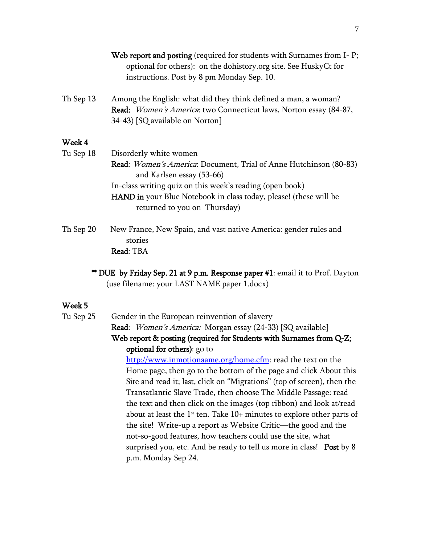|           | Web report and posting (required for students with Surnames from I-P;<br>optional for others): on the dohistory.org site. See HuskyCt for<br>instructions. Post by 8 pm Monday Sep. 10. |
|-----------|-----------------------------------------------------------------------------------------------------------------------------------------------------------------------------------------|
| Th Sep 13 | Among the English: what did they think defined a man, a woman?<br>Read: Women's America: two Connecticut laws, Norton essay (84-87,<br>34-43) [SQ available on Norton]                  |
| Week 4    |                                                                                                                                                                                         |
| Tu Sep 18 | Disorderly white women                                                                                                                                                                  |
|           | Read: <i>Women's America</i> : Document, Trial of Anne Hutchinson (80-83)<br>and Karlsen essay (53-66)                                                                                  |
|           | In-class writing quiz on this week's reading (open book)                                                                                                                                |
|           | <b>HAND</b> in your Blue Notebook in class today, please! (these will be<br>returned to you on Thursday)                                                                                |
| Th Sep 20 | New France, New Spain, and vast native America: gender rules and<br>stories                                                                                                             |
|           | Read: TBA                                                                                                                                                                               |
|           | ** $\overline{\text{DIF}}$ by Friday Sep 21 at 0 p.m. Response paper #1; email it to Prof. Dayton                                                                                       |

DUE by Friday Sep. 21 at 9 p.m. Response paper #1: email it to Prof. Dayton (use filename: your LAST NAME paper 1.docx)

#### Week 5

Tu Sep 25 Gender in the European reinvention of slavery Read: Women's America: Morgan essay (24-33) [SQ available]

Web report & posting (required for Students with Surnames from Q-Z; optional for others): go to

[http://www.inmotionaame.org/home.cfm:](http://www.inmotionaame.org/home.cfm) read the text on the Home page, then go to the bottom of the page and click About this Site and read it; last, click on "Migrations" (top of screen), then the Transatlantic Slave Trade, then choose The Middle Passage: read the text and then click on the images (top ribbon) and look at/read about at least the  $1<sup>st</sup>$  ten. Take  $10+$  minutes to explore other parts of the site! Write-up a report as Website Critic—the good and the not-so-good features, how teachers could use the site, what surprised you, etc. And be ready to tell us more in class! Post by 8 p.m. Monday Sep 24.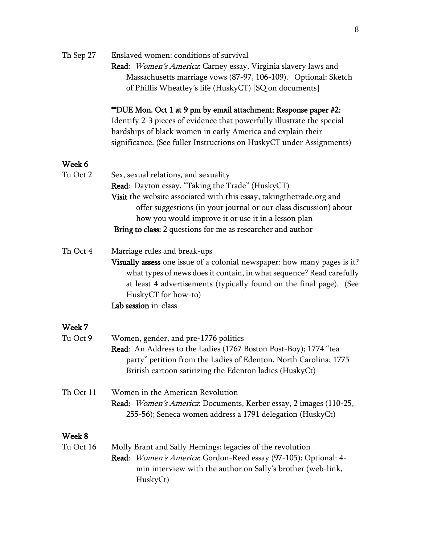| Th Sep 27 | Enslaved women: conditions of survival                                   |
|-----------|--------------------------------------------------------------------------|
|           | Read: Women's America: Carney essay, Virginia slavery laws and           |
|           | Massachusetts marriage vows (87-97, 106-109). Optional: Sketch           |
|           | of Phillis Wheatley's life (HuskyCT) [SQ on documents]                   |
|           | **DUE Mon. Oct 1 at 9 pm by email attachment: Response paper #2:         |
|           | Identify 2-3 pieces of evidence that powerfully illustrate the special   |
|           | hardships of black women in early America and explain their              |
|           | significance. (See fuller Instructions on HuskyCT under Assignments)     |
| Week 6    |                                                                          |
| Tu Oct 2  | Sex, sexual relations, and sexuality                                     |
|           | Read: Dayton essay, "Taking the Trade" (HuskyCT)                         |
|           | Visit the website associated with this essay, takingthetrade.org and     |
|           | offer suggestions (in your journal or our class discussion) about        |
|           | how you would improve it or use it in a lesson plan                      |
|           | Bring to class: 2 questions for me as researcher and author              |
|           |                                                                          |
| Th Oct 4  | Marriage rules and break-ups                                             |
|           | Visually assess one issue of a colonial newspaper: how many pages is it? |
|           | what types of news does it contain, in what sequence? Read carefully     |
|           | at least 4 advertisements (typically found on the final page). (See      |
|           | HuskyCT for how-to)                                                      |
|           | Lab session in-class                                                     |
| Week 7    |                                                                          |
| Tu Oct 9  | Women, gender, and pre-1776 politics                                     |
|           | Read: An Address to the Ladies (1767 Boston Post-Boy); 1774 "tea         |
|           | party" petition from the Ladies of Edenton, North Carolina; 1775         |
|           | British cartoon satirizing the Edenton ladies (HuskyCt)                  |
| Th Oct 11 | Women in the American Revolution                                         |
|           | Read: Women's America: Documents, Kerber essay, 2 images (110-25,        |
|           | 255-56); Seneca women address a 1791 delegation (HuskyCt)                |
| Week 8    |                                                                          |
| Tu Oct 16 | Molly Brant and Sally Hemings; legacies of the revolution                |
|           | Read: Women's America: Gordon-Reed essay (97-105); Optional: 4-          |
|           | min interview with the author on Sally's brother (web-link,              |
|           | HuskyCt)                                                                 |
|           |                                                                          |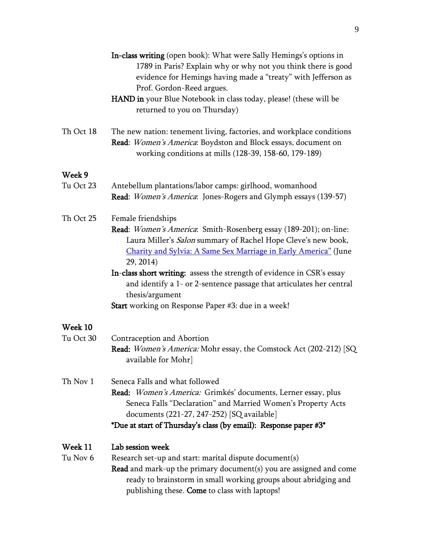|                     | In-class writing (open book): What were Sally Hemings's options in<br>1789 in Paris? Explain why or why not you think there is good<br>evidence for Hemings having made a "treaty" with Jefferson as<br>Prof. Gordon-Reed argues.<br>HAND in your Blue Notebook in class today, please! (these will be<br>returned to you on Thursday) |
|---------------------|----------------------------------------------------------------------------------------------------------------------------------------------------------------------------------------------------------------------------------------------------------------------------------------------------------------------------------------|
| Th Oct 18           | The new nation: tenement living, factories, and workplace conditions<br>Read: Women's America: Boydston and Block essays, document on<br>working conditions at mills (128-39, 158-60, 179-189)                                                                                                                                         |
| Week 9              |                                                                                                                                                                                                                                                                                                                                        |
| Tu Oct 23           | Antebellum plantations/labor camps: girlhood, womanhood<br>Read: Women's America: Jones-Rogers and Glymph essays (139-57)                                                                                                                                                                                                              |
| Th Oct 25           | Female friendships<br>Read: Women's America: Smith-Rosenberg essay (189-201); on-line:<br>Laura Miller's Salon summary of Rachel Hope Cleve's new book,<br>Charity and Sylvia: A Same Sex Marriage in Early America" (June<br>29, 2014)                                                                                                |
|                     | In-class short writing: assess the strength of evidence in CSR's essay<br>and identify a 1- or 2-sentence passage that articulates her central<br>thesis/argument                                                                                                                                                                      |
|                     | Start working on Response Paper #3: due in a week!                                                                                                                                                                                                                                                                                     |
| Week 10             |                                                                                                                                                                                                                                                                                                                                        |
| Tu Oct 30           | Contraception and Abortion<br>Read: Women's America: Mohr essay, the Comstock Act (202-212) [SQ<br>available for Mohr]                                                                                                                                                                                                                 |
| Th Nov 1            | Seneca Falls and what followed<br>Read: Women's America: Grimkés' documents, Lerner essay, plus<br>Seneca Falls "Declaration" and Married Women's Property Acts<br>documents (221-27, 247-252) [SQ available]<br>*Due at start of Thursday's class (by email): Response paper #3*                                                      |
| Week 11<br>Tu Nov 6 | Lab session week<br>Research set-up and start: marital dispute document(s)<br><b>Read</b> and mark-up the primary document(s) you are assigned and come<br>ready to brainstorm in small working groups about abridging and<br>publishing these. Come to class with laptops!                                                            |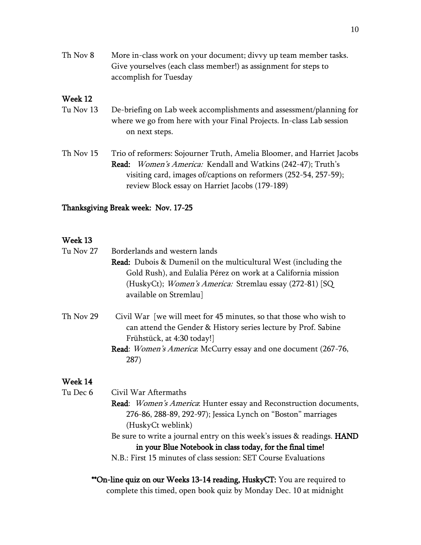| Th Nov 8 | More in-class work on your document; divvy up team member tasks. |
|----------|------------------------------------------------------------------|
|          | Give yourselves (each class member!) as assignment for steps to  |
|          | accomplish for Tuesday                                           |

### Week 12

| Tu Nov 13 | De-briefing on Lab week accomplishments and assessment/planning for  |
|-----------|----------------------------------------------------------------------|
|           | where we go from here with your Final Projects. In-class Lab session |
|           | on next steps.                                                       |

Th Nov 15 Trio of reformers: Sojourner Truth, Amelia Bloomer, and Harriet Jacobs Read: Women's America: Kendall and Watkins (242-47); Truth's visiting card, images of/captions on reformers (252-54, 257-59); review Block essay on Harriet Jacobs (179-189)

#### Thanksgiving Break week: Nov. 17-25

### Week 13

| <b>Read:</b> Dubois & Dumenil on the multicultural West (including the<br>Gold Rush), and Eulalia Pérez on work at a California mission<br>(HuskyCt); Women's America: Stremlau essay (272-81) [SQ<br>available on Stremlau]                       |
|----------------------------------------------------------------------------------------------------------------------------------------------------------------------------------------------------------------------------------------------------|
|                                                                                                                                                                                                                                                    |
|                                                                                                                                                                                                                                                    |
|                                                                                                                                                                                                                                                    |
|                                                                                                                                                                                                                                                    |
| Civil War [we will meet for 45 minutes, so that those who wish to<br>can attend the Gender & History series lecture by Prof. Sabine<br>Frühstück, at 4:30 today!]<br><b>Read:</b> <i>Women's America</i> : McCurry essay and one document (267-76, |
|                                                                                                                                                                                                                                                    |

#### Week 14

- Tu Dec 6 Civil War Aftermaths
	- Read: Women's America: Hunter essay and Reconstruction documents, 276-86, 288-89, 292-97); Jessica Lynch on "Boston" marriages (HuskyCt weblink)

Be sure to write a journal entry on this week's issues & readings. HAND in your Blue Notebook in class today, for the final time! N.B.: First 15 minutes of class session: SET Course Evaluations

\*\*On-line quiz on our Weeks 13-14 reading, HuskyCT: You are required to complete this timed, open book quiz by Monday Dec. 10 at midnight